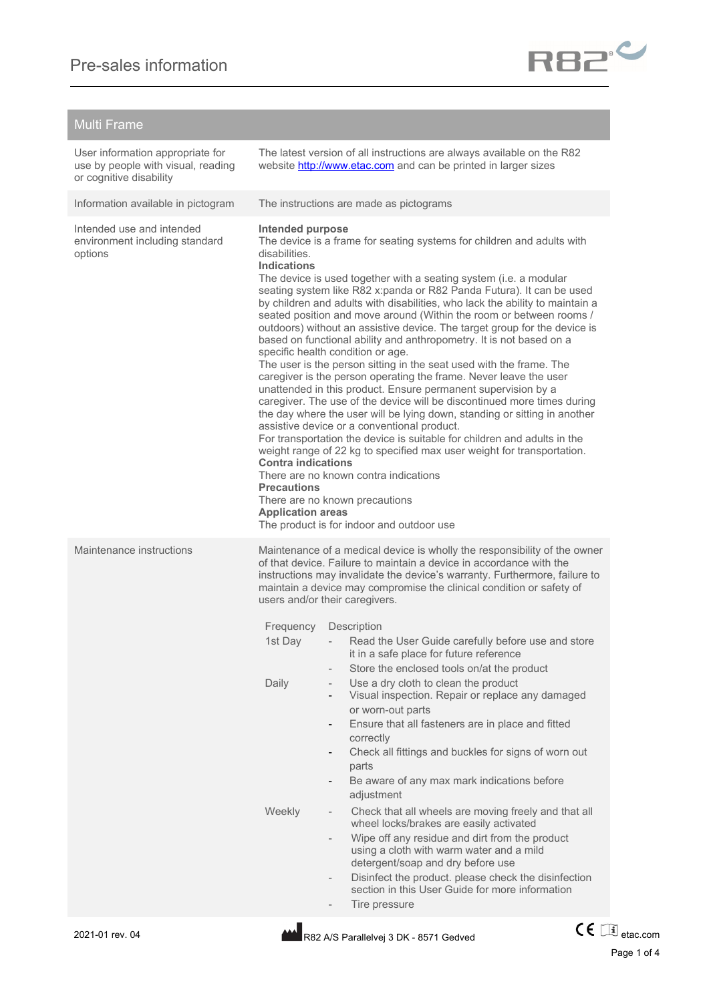## Multi Frame

| User information appropriate for<br>use by people with visual, reading<br>or cognitive disability |                                                                                                                                                                                                                                                                                                                                                                                                                                                                                                                                                                                                                                                                                                                                                                                                                                                                                                                                                                                                                                                                                                                                                                                                                                                                                                                                                                                                                 | The latest version of all instructions are always available on the R82<br>website http://www.etac.com and can be printed in larger sizes                                                                                                                                                                                                                                                                                                                                                                                                                                                                                                                                                                                                                                                                                                                                                                                                                                                                                                                                         |
|---------------------------------------------------------------------------------------------------|-----------------------------------------------------------------------------------------------------------------------------------------------------------------------------------------------------------------------------------------------------------------------------------------------------------------------------------------------------------------------------------------------------------------------------------------------------------------------------------------------------------------------------------------------------------------------------------------------------------------------------------------------------------------------------------------------------------------------------------------------------------------------------------------------------------------------------------------------------------------------------------------------------------------------------------------------------------------------------------------------------------------------------------------------------------------------------------------------------------------------------------------------------------------------------------------------------------------------------------------------------------------------------------------------------------------------------------------------------------------------------------------------------------------|----------------------------------------------------------------------------------------------------------------------------------------------------------------------------------------------------------------------------------------------------------------------------------------------------------------------------------------------------------------------------------------------------------------------------------------------------------------------------------------------------------------------------------------------------------------------------------------------------------------------------------------------------------------------------------------------------------------------------------------------------------------------------------------------------------------------------------------------------------------------------------------------------------------------------------------------------------------------------------------------------------------------------------------------------------------------------------|
| Information available in pictogram                                                                |                                                                                                                                                                                                                                                                                                                                                                                                                                                                                                                                                                                                                                                                                                                                                                                                                                                                                                                                                                                                                                                                                                                                                                                                                                                                                                                                                                                                                 | The instructions are made as pictograms                                                                                                                                                                                                                                                                                                                                                                                                                                                                                                                                                                                                                                                                                                                                                                                                                                                                                                                                                                                                                                          |
| Intended use and intended<br>environment including standard<br>options                            | <b>Intended purpose</b><br>The device is a frame for seating systems for children and adults with<br>disabilities.<br><b>Indications</b><br>The device is used together with a seating system (i.e. a modular<br>seating system like R82 x:panda or R82 Panda Futura). It can be used<br>by children and adults with disabilities, who lack the ability to maintain a<br>seated position and move around (Within the room or between rooms /<br>outdoors) without an assistive device. The target group for the device is<br>based on functional ability and anthropometry. It is not based on a<br>specific health condition or age.<br>The user is the person sitting in the seat used with the frame. The<br>caregiver is the person operating the frame. Never leave the user<br>unattended in this product. Ensure permanent supervision by a<br>caregiver. The use of the device will be discontinued more times during<br>the day where the user will be lying down, standing or sitting in another<br>assistive device or a conventional product.<br>For transportation the device is suitable for children and adults in the<br>weight range of 22 kg to specified max user weight for transportation.<br><b>Contra indications</b><br>There are no known contra indications<br>Precautions<br>There are no known precautions<br><b>Application areas</b><br>The product is for indoor and outdoor use |                                                                                                                                                                                                                                                                                                                                                                                                                                                                                                                                                                                                                                                                                                                                                                                                                                                                                                                                                                                                                                                                                  |
| Maintenance instructions                                                                          | Frequency<br>1st Day<br>Daily<br>Weekly                                                                                                                                                                                                                                                                                                                                                                                                                                                                                                                                                                                                                                                                                                                                                                                                                                                                                                                                                                                                                                                                                                                                                                                                                                                                                                                                                                         | Maintenance of a medical device is wholly the responsibility of the owner<br>of that device. Failure to maintain a device in accordance with the<br>instructions may invalidate the device's warranty. Furthermore, failure to<br>maintain a device may compromise the clinical condition or safety of<br>users and/or their caregivers.<br>Description<br>Read the User Guide carefully before use and store<br>it in a safe place for future reference<br>Store the enclosed tools on/at the product<br>Use a dry cloth to clean the product<br>Visual inspection. Repair or replace any damaged<br>or worn-out parts<br>Ensure that all fasteners are in place and fitted<br>correctly<br>Check all fittings and buckles for signs of worn out<br>$\overline{\phantom{a}}$<br>parts<br>Be aware of any max mark indications before<br>adjustment<br>Check that all wheels are moving freely and that all<br>$\overline{\phantom{a}}$<br>wheel locks/brakes are easily activated<br>Wipe off any residue and dirt from the product<br>using a cloth with warm water and a mild |



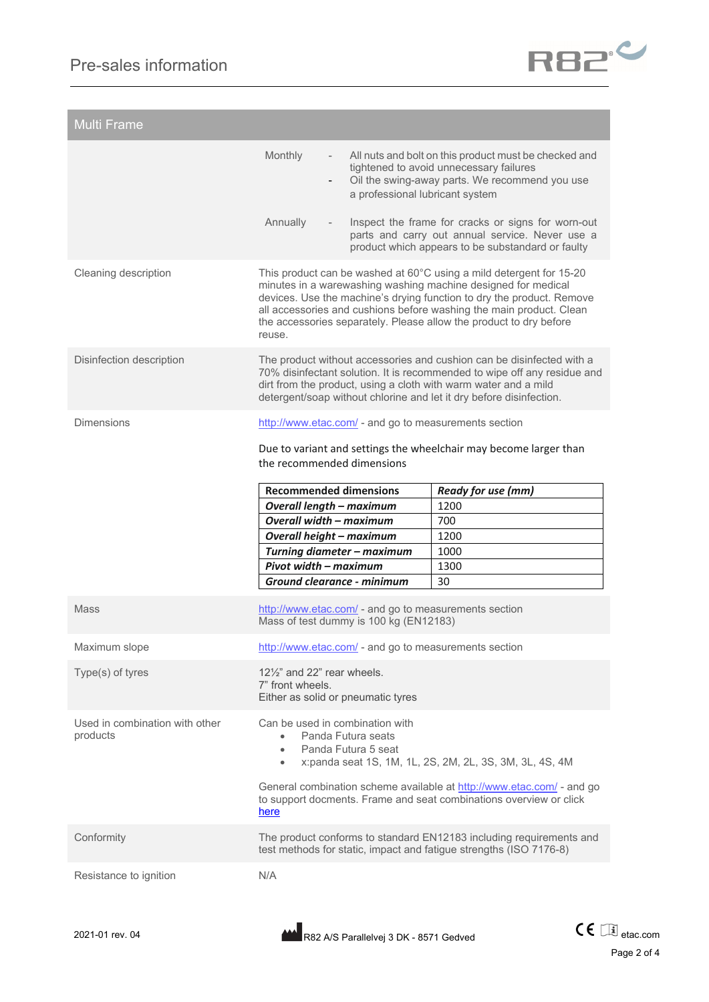

| <b>Multi Frame</b>                         |                                                                                                                                                                                                                                                                                                                                                                      |                                                                                                                                                            |  |
|--------------------------------------------|----------------------------------------------------------------------------------------------------------------------------------------------------------------------------------------------------------------------------------------------------------------------------------------------------------------------------------------------------------------------|------------------------------------------------------------------------------------------------------------------------------------------------------------|--|
|                                            | Monthly<br>a professional lubricant system                                                                                                                                                                                                                                                                                                                           | All nuts and bolt on this product must be checked and<br>tightened to avoid unnecessary failures<br>Oil the swing-away parts. We recommend you use         |  |
|                                            | Annually                                                                                                                                                                                                                                                                                                                                                             | Inspect the frame for cracks or signs for worn-out<br>parts and carry out annual service. Never use a<br>product which appears to be substandard or faulty |  |
| Cleaning description                       | This product can be washed at 60°C using a mild detergent for 15-20<br>minutes in a warewashing washing machine designed for medical<br>devices. Use the machine's drying function to dry the product. Remove<br>all accessories and cushions before washing the main product. Clean<br>the accessories separately. Please allow the product to dry before<br>reuse. |                                                                                                                                                            |  |
| Disinfection description                   | The product without accessories and cushion can be disinfected with a<br>70% disinfectant solution. It is recommended to wipe off any residue and<br>dirt from the product, using a cloth with warm water and a mild<br>detergent/soap without chlorine and let it dry before disinfection.                                                                          |                                                                                                                                                            |  |
| <b>Dimensions</b>                          | http://www.etac.com/ - and go to measurements section<br>Due to variant and settings the wheelchair may become larger than<br>the recommended dimensions                                                                                                                                                                                                             |                                                                                                                                                            |  |
|                                            | <b>Recommended dimensions</b>                                                                                                                                                                                                                                                                                                                                        | <b>Ready for use (mm)</b>                                                                                                                                  |  |
|                                            | <b>Overall length - maximum</b>                                                                                                                                                                                                                                                                                                                                      | 1200                                                                                                                                                       |  |
|                                            | <b>Overall width - maximum</b>                                                                                                                                                                                                                                                                                                                                       | 700                                                                                                                                                        |  |
|                                            | Overall height - maximum                                                                                                                                                                                                                                                                                                                                             | 1200                                                                                                                                                       |  |
|                                            | Turning diameter - maximum                                                                                                                                                                                                                                                                                                                                           | 1000                                                                                                                                                       |  |
|                                            | Pivot width - maximum                                                                                                                                                                                                                                                                                                                                                | 1300<br>30                                                                                                                                                 |  |
|                                            | Ground clearance - minimum                                                                                                                                                                                                                                                                                                                                           |                                                                                                                                                            |  |
| Mass                                       | http://www.etac.com/ - and go to measurements section<br>Mass of test dummy is 100 kg (EN12183)                                                                                                                                                                                                                                                                      |                                                                                                                                                            |  |
| Maximum slope                              | http://www.etac.com/ - and go to measurements section                                                                                                                                                                                                                                                                                                                |                                                                                                                                                            |  |
| Type(s) of tyres                           | $12\frac{1}{2}$ and 22" rear wheels.<br>7" front wheels.<br>Either as solid or pneumatic tyres                                                                                                                                                                                                                                                                       |                                                                                                                                                            |  |
| Used in combination with other<br>products | Can be used in combination with<br>Panda Futura seats<br>$\bullet$<br>Panda Futura 5 seat<br>$\bullet$<br>$\bullet$                                                                                                                                                                                                                                                  | x:panda seat 1S, 1M, 1L, 2S, 2M, 2L, 3S, 3M, 3L, 4S, 4M                                                                                                    |  |
|                                            | General combination scheme available at http://www.etac.com/ - and go<br>to support docments. Frame and seat combinations overview or click<br>here                                                                                                                                                                                                                  |                                                                                                                                                            |  |
| Conformity                                 | The product conforms to standard EN12183 including requirements and<br>test methods for static, impact and fatigue strengths (ISO 7176-8)                                                                                                                                                                                                                            |                                                                                                                                                            |  |
| Resistance to ignition                     | N/A                                                                                                                                                                                                                                                                                                                                                                  |                                                                                                                                                            |  |

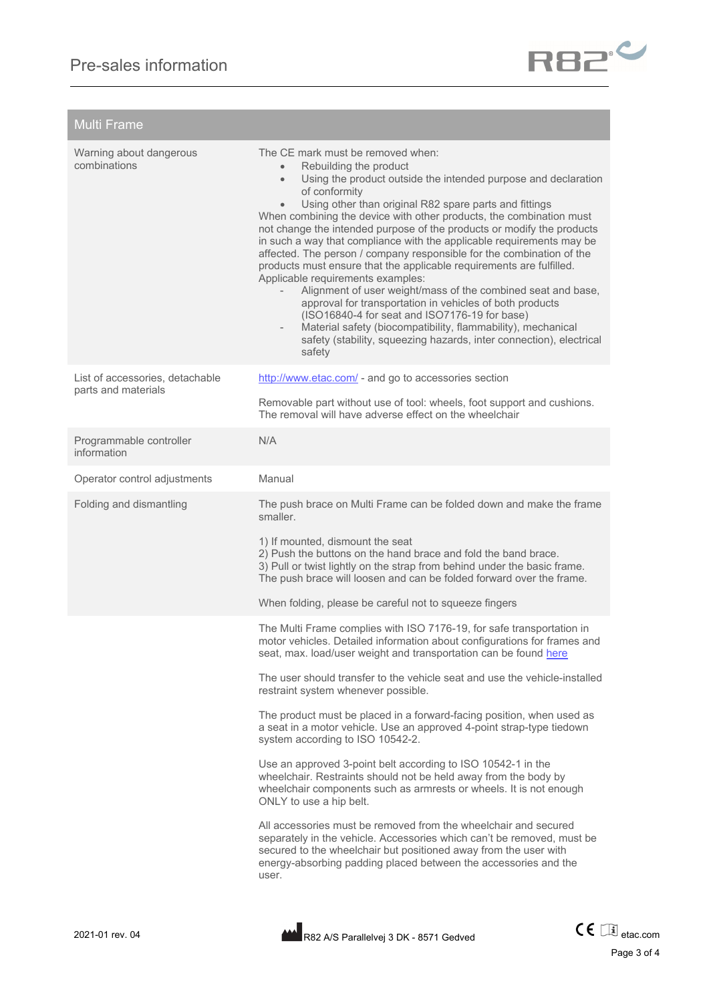

| <b>Multi Frame</b>                                     |                                                                                                                                                                                                                                                                                                                                                                                                                                                                                                                                                                                                                                                                                                                                                                                                                                                                                                                                                                                                                           |
|--------------------------------------------------------|---------------------------------------------------------------------------------------------------------------------------------------------------------------------------------------------------------------------------------------------------------------------------------------------------------------------------------------------------------------------------------------------------------------------------------------------------------------------------------------------------------------------------------------------------------------------------------------------------------------------------------------------------------------------------------------------------------------------------------------------------------------------------------------------------------------------------------------------------------------------------------------------------------------------------------------------------------------------------------------------------------------------------|
| Warning about dangerous<br>combinations                | The CE mark must be removed when:<br>Rebuilding the product<br>$\bullet$<br>Using the product outside the intended purpose and declaration<br>$\bullet$<br>of conformity<br>Using other than original R82 spare parts and fittings<br>$\bullet$<br>When combining the device with other products, the combination must<br>not change the intended purpose of the products or modify the products<br>in such a way that compliance with the applicable requirements may be<br>affected. The person / company responsible for the combination of the<br>products must ensure that the applicable requirements are fulfilled.<br>Applicable requirements examples:<br>Alignment of user weight/mass of the combined seat and base,<br>approval for transportation in vehicles of both products<br>(ISO16840-4 for seat and ISO7176-19 for base)<br>Material safety (biocompatibility, flammability), mechanical<br>$\overline{\phantom{a}}$<br>safety (stability, squeezing hazards, inter connection), electrical<br>safety |
| List of accessories, detachable<br>parts and materials | http://www.etac.com/ - and go to accessories section<br>Removable part without use of tool: wheels, foot support and cushions.<br>The removal will have adverse effect on the wheelchair                                                                                                                                                                                                                                                                                                                                                                                                                                                                                                                                                                                                                                                                                                                                                                                                                                  |
| Programmable controller<br>information                 | N/A                                                                                                                                                                                                                                                                                                                                                                                                                                                                                                                                                                                                                                                                                                                                                                                                                                                                                                                                                                                                                       |
| Operator control adjustments                           | Manual                                                                                                                                                                                                                                                                                                                                                                                                                                                                                                                                                                                                                                                                                                                                                                                                                                                                                                                                                                                                                    |
| Folding and dismantling                                | The push brace on Multi Frame can be folded down and make the frame<br>smaller.<br>1) If mounted, dismount the seat<br>2) Push the buttons on the hand brace and fold the band brace.<br>3) Pull or twist lightly on the strap from behind under the basic frame.<br>The push brace will loosen and can be folded forward over the frame.<br>When folding, please be careful not to squeeze fingers                                                                                                                                                                                                                                                                                                                                                                                                                                                                                                                                                                                                                       |
|                                                        | The Multi Frame complies with ISO 7176-19, for safe transportation in<br>motor vehicles. Detailed information about configurations for frames and<br>seat, max. load/user weight and transportation can be found here<br>The user should transfer to the vehicle seat and use the vehicle-installed<br>restraint system whenever possible.<br>The product must be placed in a forward-facing position, when used as<br>a seat in a motor vehicle. Use an approved 4-point strap-type tiedown                                                                                                                                                                                                                                                                                                                                                                                                                                                                                                                              |
|                                                        | system according to ISO 10542-2.<br>Use an approved 3-point belt according to ISO 10542-1 in the<br>wheelchair. Restraints should not be held away from the body by<br>wheelchair components such as armrests or wheels. It is not enough<br>ONLY to use a hip belt.<br>All accessories must be removed from the wheelchair and secured<br>separately in the vehicle. Accessories which can't be removed, must be<br>secured to the wheelchair but positioned away from the user with<br>energy-absorbing padding placed between the accessories and the<br>user.                                                                                                                                                                                                                                                                                                                                                                                                                                                         |